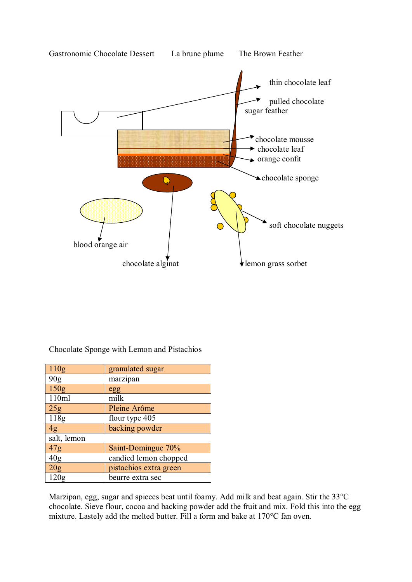

Chocolate Sponge with Lemon and Pistachios

| 110g             | granulated sugar       |
|------------------|------------------------|
| 90 <sub>g</sub>  | marzipan               |
| 150 <sub>g</sub> | egg                    |
| 110ml            | milk                   |
| 25g              | Pleine Arôme           |
| 118g             | flour type 405         |
| 4g               | backing powder         |
| salt, lemon      |                        |
| 47g              | Saint-Domingue 70%     |
| 40 <sub>g</sub>  | candied lemon chopped  |
| 20g              | pistachios extra green |
| 120g             | beurre extra sec       |

Marzipan, egg, sugar and spieces beat until foamy. Add milk and beat again. Stir the 33°C chocolate. Sieve flour, cocoa and backing powder add the fruit and mix. Fold this into the egg mixture. Lastely add the melted butter. Fill a form and bake at 170°C fan oven.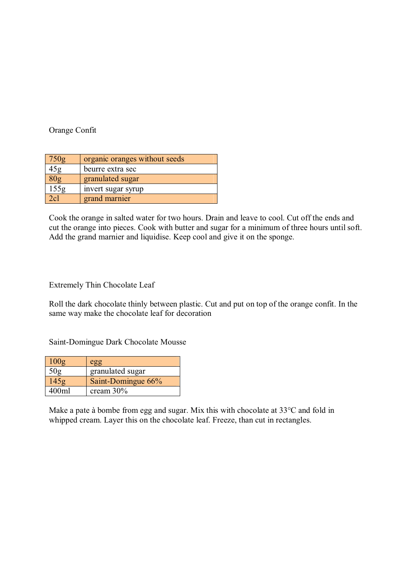Orange Confit

| 750g            | organic oranges without seeds |
|-----------------|-------------------------------|
| 45g             | beurre extra sec              |
| 80 <sub>g</sub> | granulated sugar              |
| 155g            | invert sugar syrup            |
| 2c1             | grand marnier                 |

Cook the orange in salted water for two hours. Drain and leave to cool. Cut off the ends and cut the orange into pieces. Cook with butter and sugar for a minimum of three hours until soft. Add the grand marnier and liquidise. Keep cool and give it on the sponge.

Extremely Thin Chocolate Leaf

Roll the dark chocolate thinly between plastic. Cut and put on top of the orange confit. In the same way make the chocolate leaf for decoration

Saint-Domingue Dark Chocolate Mousse

| 100g  | egg                |
|-------|--------------------|
| 50g   | granulated sugar   |
| 145g  | Saint-Domingue 66% |
| 400ml | cream $30\%$       |

Make a pate à bombe from egg and sugar. Mix this with chocolate at 33°C and fold in whipped cream. Layer this on the chocolate leaf. Freeze, than cut in rectangles.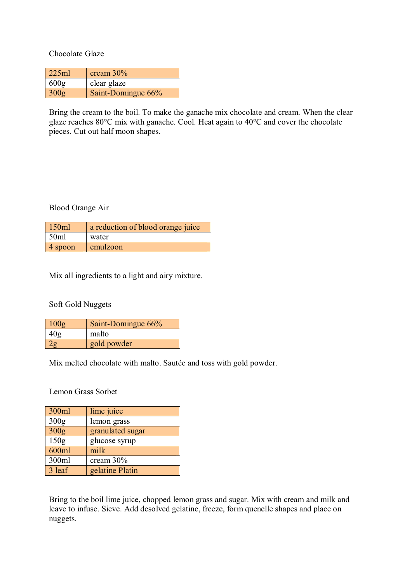Chocolate Glaze

| 225ml | cream $30\%$       |
|-------|--------------------|
| 600g  | clear glaze        |
| 300g  | Saint-Domingue 66% |

Bring the cream to the boil. To make the ganache mix chocolate and cream. When the clear glaze reaches 80°C mix with ganache. Cool. Heat again to 40°C and cover the chocolate pieces. Cut out half moon shapes.

Blood Orange Air

| 150ml   | a reduction of blood orange juice |
|---------|-----------------------------------|
| 50ml    | water                             |
| 4 spoon | emulzoon                          |

Mix all ingredients to a light and airy mixture.

Soft Gold Nuggets

| 100g | Saint-Domingue 66% |
|------|--------------------|
|      | malto              |
|      | gold powder        |

Mix melted chocolate with malto. Sautée and toss with gold powder.

Lemon Grass Sorbet

| 300ml  | lime juice       |
|--------|------------------|
| 300g   | lemon grass      |
| 300g   | granulated sugar |
| 150g   | glucose syrup    |
| 600ml  | milk             |
| 300ml  | cream 30%        |
| 3 leaf | gelatine Platin  |

Bring to the boil lime juice, chopped lemon grass and sugar. Mix with cream and milk and leave to infuse. Sieve. Add desolved gelatine, freeze, form quenelle shapes and place on nuggets.